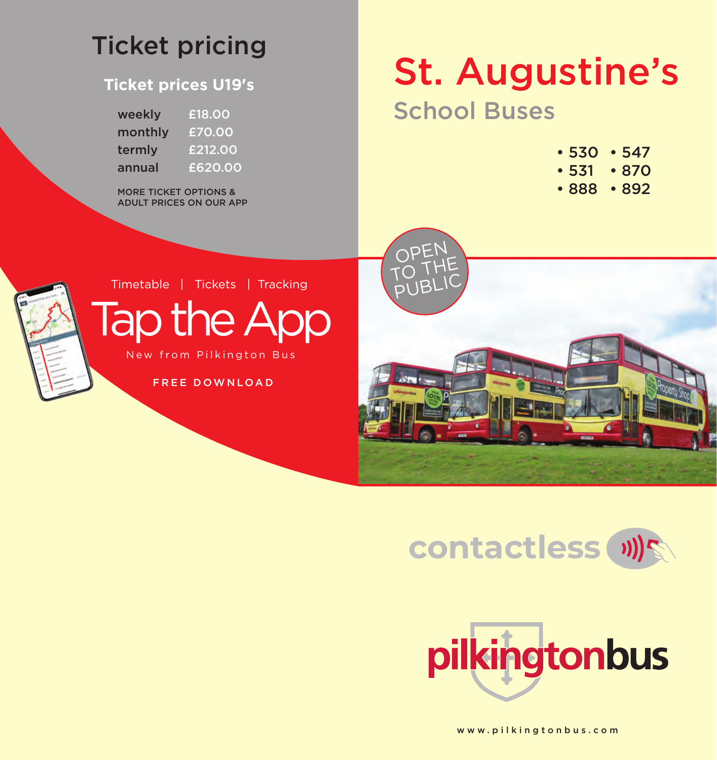## Ticket pricing

#### **Ticket prices U19's**

| weekly  | £18.00  |
|---------|---------|
| monthly | £70.00  |
| termly  | £212.00 |
| annual  | £620.00 |

MORE TICKET OPTIONS & ADULT PRICES ON OUR APP

# St. Augustine's

## School Buses

- 530 547
- 531 870
- 888 892



Timetable | Tickets | Tracking

Tap the App New from Pilkington Bus

FREE DOWNLOAD







www.pilkingtonbus.com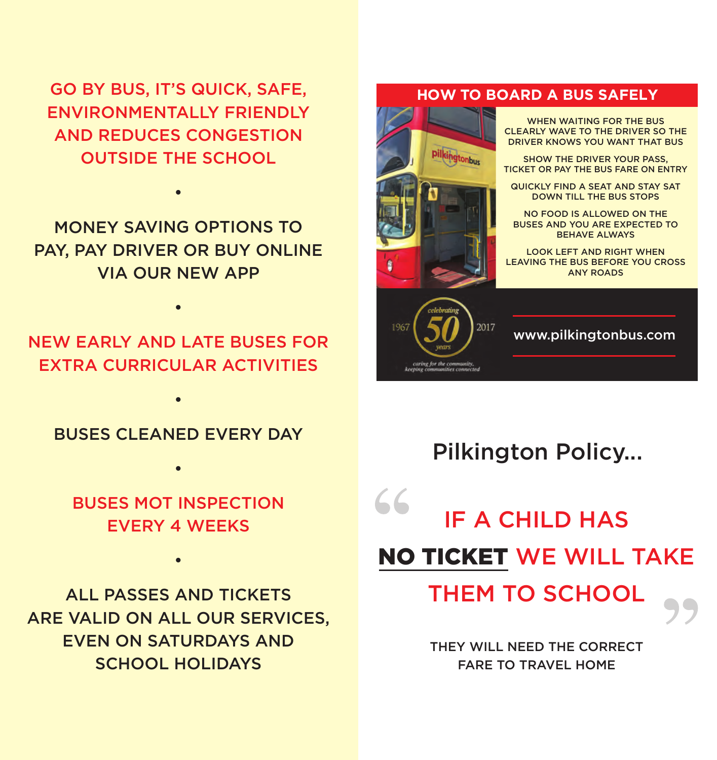GO BY BUS, IT'S QUICK, SAFE, ENVIRONMENTALLY FRIENDLY AND REDUCES CONGESTION OUTSIDE THE SCHOOL

MONEY SAVING OPTIONS TO PAY, PAY DRIVER OR BUY ONLINE VIA OUR NEW APP

•

NEW EARLY AND LATE BUSES FOR EXTRA CURRICULAR ACTIVITIES

•

BUSES CLEANED EVERY DAY

•

•

BUSES MOT INSPECTION EVERY 4 WEEKS

•

ALL PASSES AND TICKETS ARE VALID ON ALL OUR SERVICES, EVEN ON SATURDAYS AND SCHOOL HOLIDAYS

#### **HOW TO BOARD A BUS SAFELY**





www.pilkingtonbus.com

### Pilkington Policy...

IF A CHILD HAS NO TICKET WE WILL TAKE

THEM TO SCHOOL

THEY WILL NEED THE CORRECT FARE TO TRAVEL HOME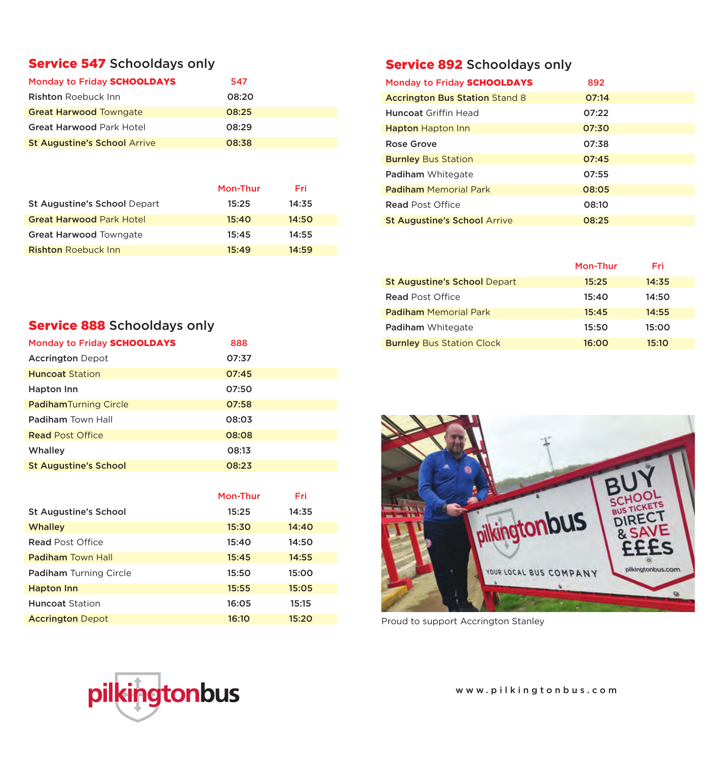#### Service 547 Schooldays only

| Monday to Friday SCHOOLDAYS         | 547   |
|-------------------------------------|-------|
| <b>Rishton</b> Roebuck Inn          | 08:20 |
| <b>Great Harwood Towngate</b>       | 08:25 |
| <b>Great Harwood Park Hotel</b>     | 08:29 |
| <b>St Augustine's School Arrive</b> | 08:38 |

|                                 | Mon-Thur | Fri   |
|---------------------------------|----------|-------|
| St Augustine's School Depart    | 15:25    | 14:35 |
| <b>Great Harwood Park Hotel</b> | 15:40    | 14:50 |
| <b>Great Harwood Towngate</b>   | 15:45    | 14:55 |
| <b>Rishton Roebuck Inn</b>      | 15:49    | 14:59 |

#### Service 892 Schooldays only

| Monday to Friday SCHOOLDAYS           | 892   |  |
|---------------------------------------|-------|--|
| <b>Accrington Bus Station Stand 8</b> | 07:14 |  |
| <b>Huncoat Griffin Head</b>           | 07:22 |  |
| <b>Hapton Hapton Inn</b>              | 07:30 |  |
| Rose Grove                            | 07:38 |  |
| <b>Burnley Bus Station</b>            | 07:45 |  |
| <b>Padiham</b> Whitegate              | 07:55 |  |
| <b>Padiham Memorial Park</b>          | 08:05 |  |
| <b>Read Post Office</b>               | 08:10 |  |
| <b>St Augustine's School Arrive</b>   | 08:25 |  |

|                                     | Mon-Thur | Fri   |
|-------------------------------------|----------|-------|
| <b>St Augustine's School Depart</b> | 15:25    | 14:35 |
| <b>Read Post Office</b>             | 15:40    | 14:50 |
| <b>Padiham</b> Memorial Park        | 15:45    | 14:55 |
| Padiham Whitegate                   | 15:50    | 15:00 |
| <b>Burnley Bus Station Clock</b>    | 16:00    | 15:10 |

#### Service 888 Schooldays only

| Monday to Friday SCHOOLDAYS  | 888   |
|------------------------------|-------|
| <b>Accrington Depot</b>      | 07:37 |
| <b>Huncoat Station</b>       | 07:45 |
| Hapton Inn                   | 07:50 |
| <b>PadihamTurning Circle</b> | 07:58 |
| Padiham Town Hall            | 08:03 |
| <b>Read Post Office</b>      | 08:08 |
| Whalley                      | 08:13 |
| <b>St Augustine's School</b> | 08:23 |

|                               | Mon-Thur | Fri   |  |
|-------------------------------|----------|-------|--|
| <b>St Augustine's School</b>  | 15:25    | 14:35 |  |
| <b>Whalley</b>                | 15:30    | 14:40 |  |
| <b>Read Post Office</b>       | 15:40    | 14:50 |  |
| <b>Padiham Town Hall</b>      | 15:45    | 14:55 |  |
| <b>Padiham Turning Circle</b> | 15:50    | 15:00 |  |
| <b>Hapton Inn</b>             | 15:55    | 15:05 |  |
| <b>Huncoat Station</b>        | 16:05    | 15:15 |  |
| <b>Accrington Depot</b>       | 16:10    | 15:20 |  |



Proud to support Accrington Stanley